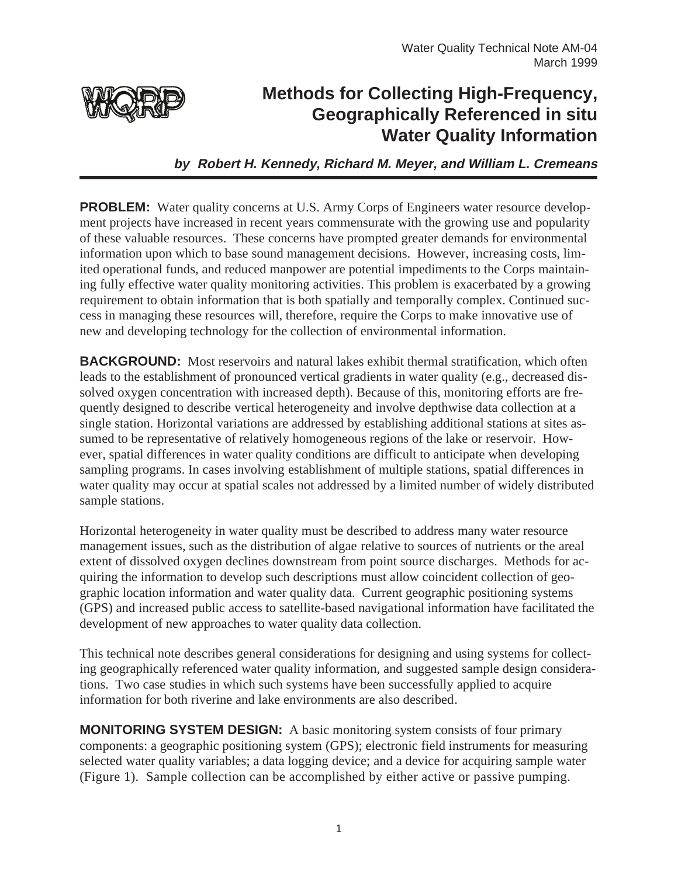

## **Methods for Collecting High-Frequency, Geographically Referenced in situ Water Quality Information**

**by Robert H. Kennedy, Richard M. Meyer, and William L. Cremeans**

**PROBLEM:** Water quality concerns at U.S. Army Corps of Engineers water resource development projects have increased in recent years commensurate with the growing use and popularity of these valuable resources. These concerns have prompted greater demands for environmental information upon which to base sound management decisions. However, increasing costs, limited operational funds, and reduced manpower are potential impediments to the Corps maintaining fully effective water quality monitoring activities. This problem is exacerbated by a growing requirement to obtain information that is both spatially and temporally complex. Continued success in managing these resources will, therefore, require the Corps to make innovative use of new and developing technology for the collection of environmental information.

**BACKGROUND:** Most reservoirs and natural lakes exhibit thermal stratification, which often leads to the establishment of pronounced vertical gradients in water quality (e.g., decreased dissolved oxygen concentration with increased depth). Because of this, monitoring efforts are frequently designed to describe vertical heterogeneity and involve depthwise data collection at a single station. Horizontal variations are addressed by establishing additional stations at sites assumed to be representative of relatively homogeneous regions of the lake or reservoir. However, spatial differences in water quality conditions are difficult to anticipate when developing sampling programs. In cases involving establishment of multiple stations, spatial differences in water quality may occur at spatial scales not addressed by a limited number of widely distributed sample stations.

Horizontal heterogeneity in water quality must be described to address many water resource management issues, such as the distribution of algae relative to sources of nutrients or the areal extent of dissolved oxygen declines downstream from point source discharges. Methods for acquiring the information to develop such descriptions must allow coincident collection of geographic location information and water quality data. Current geographic positioning systems (GPS) and increased public access to satellite-based navigational information have facilitated the development of new approaches to water quality data collection.

This technical note describes general considerations for designing and using systems for collecting geographically referenced water quality information, and suggested sample design considerations. Two case studies in which such systems have been successfully applied to acquire information for both riverine and lake environments are also described.

**MONITORING SYSTEM DESIGN:** A basic monitoring system consists of four primary components: a geographic positioning system (GPS); electronic field instruments for measuring selected water quality variables; a data logging device; and a device for acquiring sample water (Figure 1). Sample collection can be accomplished by either active or passive pumping.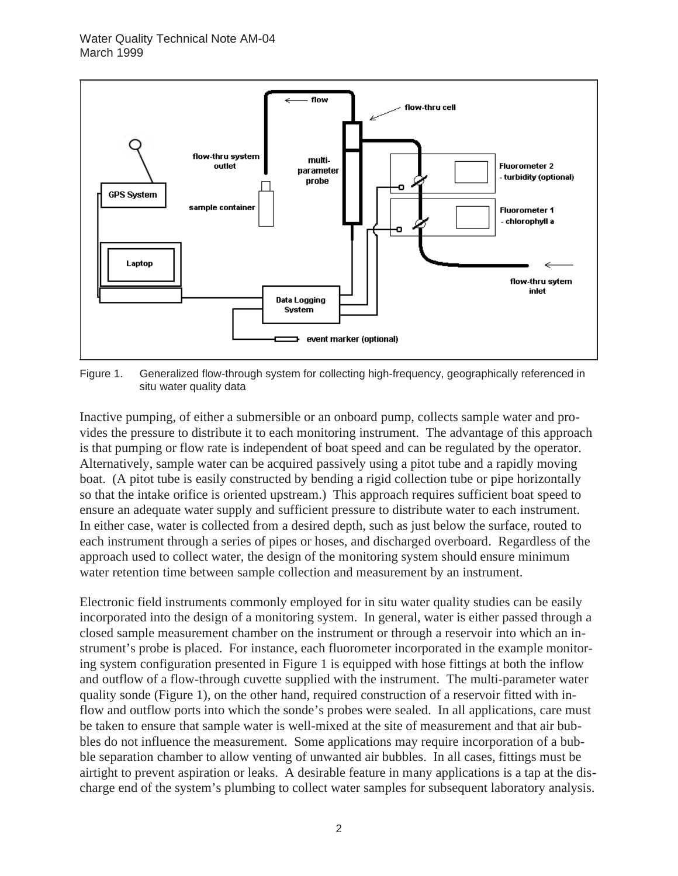

Figure 1. Generalized flow-through system for collecting high-frequency, geographically referenced in situ water quality data

Inactive pumping, of either a submersible or an onboard pump, collects sample water and provides the pressure to distribute it to each monitoring instrument. The advantage of this approach is that pumping or flow rate is independent of boat speed and can be regulated by the operator. Alternatively, sample water can be acquired passively using a pitot tube and a rapidly moving boat. (A pitot tube is easily constructed by bending a rigid collection tube or pipe horizontally so that the intake orifice is oriented upstream.) This approach requires sufficient boat speed to ensure an adequate water supply and sufficient pressure to distribute water to each instrument. In either case, water is collected from a desired depth, such as just below the surface, routed to each instrument through a series of pipes or hoses, and discharged overboard. Regardless of the approach used to collect water, the design of the monitoring system should ensure minimum water retention time between sample collection and measurement by an instrument.

Electronic field instruments commonly employed for in situ water quality studies can be easily incorporated into the design of a monitoring system. In general, water is either passed through a closed sample measurement chamber on the instrument or through a reservoir into which an instrument's probe is placed. For instance, each fluorometer incorporated in the example monitoring system configuration presented in Figure 1 is equipped with hose fittings at both the inflow and outflow of a flow-through cuvette supplied with the instrument. The multi-parameter water quality sonde (Figure 1), on the other hand, required construction of a reservoir fitted with inflow and outflow ports into which the sonde's probes were sealed. In all applications, care must be taken to ensure that sample water is well-mixed at the site of measurement and that air bubbles do not influence the measurement. Some applications may require incorporation of a bubble separation chamber to allow venting of unwanted air bubbles. In all cases, fittings must be airtight to prevent aspiration or leaks. A desirable feature in many applications is a tap at the discharge end of the system's plumbing to collect water samples for subsequent laboratory analysis.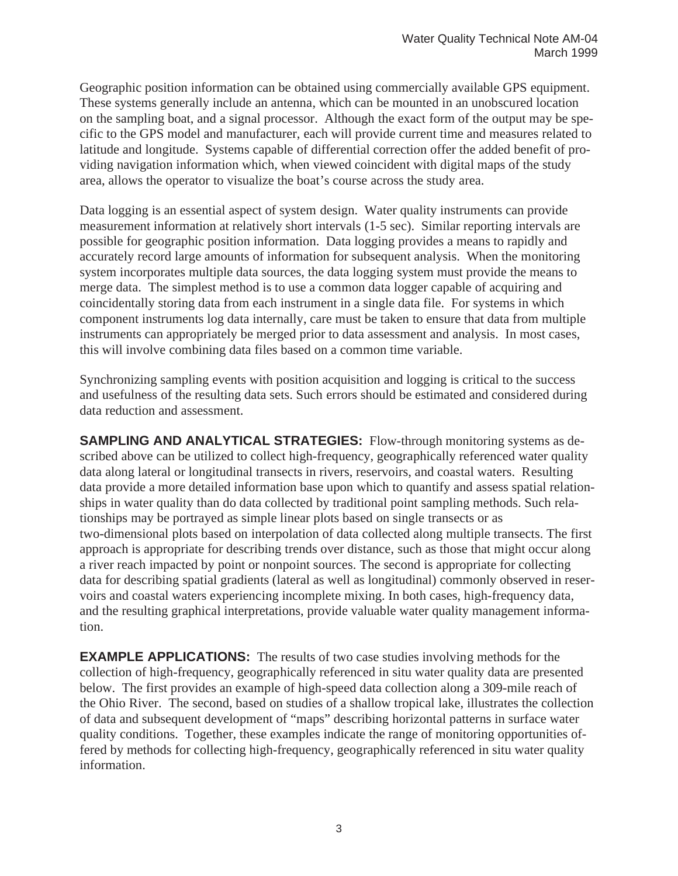Geographic position information can be obtained using commercially available GPS equipment. These systems generally include an antenna, which can be mounted in an unobscured location on the sampling boat, and a signal processor. Although the exact form of the output may be specific to the GPS model and manufacturer, each will provide current time and measures related to latitude and longitude. Systems capable of differential correction offer the added benefit of providing navigation information which, when viewed coincident with digital maps of the study area, allows the operator to visualize the boat's course across the study area.

Data logging is an essential aspect of system design. Water quality instruments can provide measurement information at relatively short intervals (1-5 sec). Similar reporting intervals are possible for geographic position information. Data logging provides a means to rapidly and accurately record large amounts of information for subsequent analysis. When the monitoring system incorporates multiple data sources, the data logging system must provide the means to merge data. The simplest method is to use a common data logger capable of acquiring and coincidentally storing data from each instrument in a single data file. For systems in which component instruments log data internally, care must be taken to ensure that data from multiple instruments can appropriately be merged prior to data assessment and analysis. In most cases, this will involve combining data files based on a common time variable.

Synchronizing sampling events with position acquisition and logging is critical to the success and usefulness of the resulting data sets. Such errors should be estimated and considered during data reduction and assessment.

**SAMPLING AND ANALYTICAL STRATEGIES:** Flow-through monitoring systems as described above can be utilized to collect high-frequency, geographically referenced water quality data along lateral or longitudinal transects in rivers, reservoirs, and coastal waters. Resulting data provide a more detailed information base upon which to quantify and assess spatial relationships in water quality than do data collected by traditional point sampling methods. Such relationships may be portrayed as simple linear plots based on single transects or as two-dimensional plots based on interpolation of data collected along multiple transects. The first approach is appropriate for describing trends over distance, such as those that might occur along a river reach impacted by point or nonpoint sources. The second is appropriate for collecting data for describing spatial gradients (lateral as well as longitudinal) commonly observed in reservoirs and coastal waters experiencing incomplete mixing. In both cases, high-frequency data, and the resulting graphical interpretations, provide valuable water quality management information.

**EXAMPLE APPLICATIONS:** The results of two case studies involving methods for the collection of high-frequency, geographically referenced in situ water quality data are presented below. The first provides an example of high-speed data collection along a 309-mile reach of the Ohio River. The second, based on studies of a shallow tropical lake, illustrates the collection of data and subsequent development of "maps" describing horizontal patterns in surface water quality conditions. Together, these examples indicate the range of monitoring opportunities offered by methods for collecting high-frequency, geographically referenced in situ water quality information.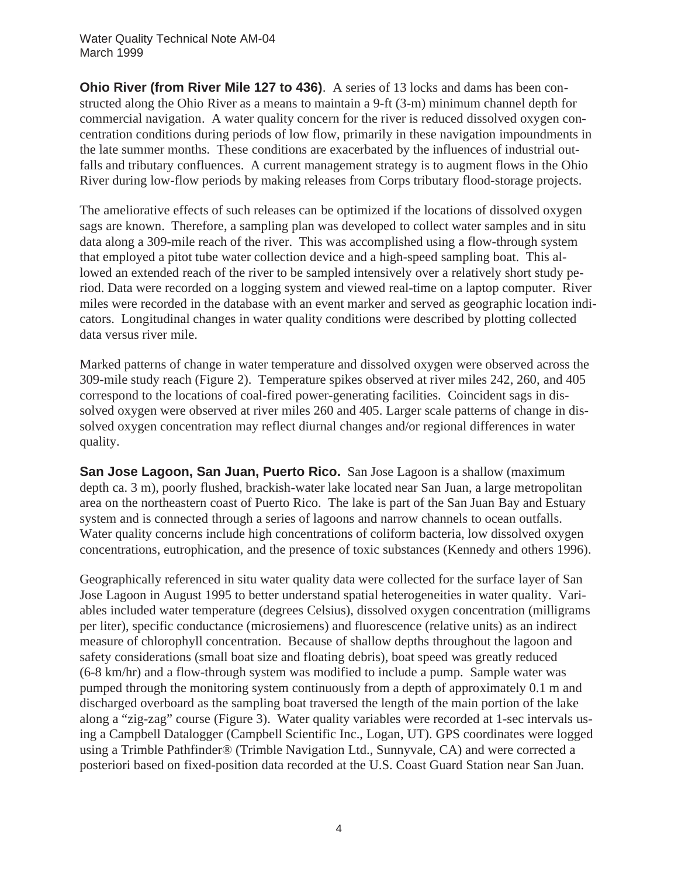**Ohio River (from River Mile 127 to 436)**. A series of 13 locks and dams has been constructed along the Ohio River as a means to maintain a 9-ft (3-m) minimum channel depth for commercial navigation. A water quality concern for the river is reduced dissolved oxygen concentration conditions during periods of low flow, primarily in these navigation impoundments in the late summer months. These conditions are exacerbated by the influences of industrial outfalls and tributary confluences. A current management strategy is to augment flows in the Ohio River during low-flow periods by making releases from Corps tributary flood-storage projects.

The ameliorative effects of such releases can be optimized if the locations of dissolved oxygen sags are known. Therefore, a sampling plan was developed to collect water samples and in situ data along a 309-mile reach of the river. This was accomplished using a flow-through system that employed a pitot tube water collection device and a high-speed sampling boat. This allowed an extended reach of the river to be sampled intensively over a relatively short study period. Data were recorded on a logging system and viewed real-time on a laptop computer. River miles were recorded in the database with an event marker and served as geographic location indicators. Longitudinal changes in water quality conditions were described by plotting collected data versus river mile.

Marked patterns of change in water temperature and dissolved oxygen were observed across the 309-mile study reach (Figure 2). Temperature spikes observed at river miles 242, 260, and 405 correspond to the locations of coal-fired power-generating facilities. Coincident sags in dissolved oxygen were observed at river miles 260 and 405. Larger scale patterns of change in dissolved oxygen concentration may reflect diurnal changes and/or regional differences in water quality.

**San Jose Lagoon, San Juan, Puerto Rico.** San Jose Lagoon is a shallow (maximum depth ca. 3 m), poorly flushed, brackish-water lake located near San Juan, a large metropolitan area on the northeastern coast of Puerto Rico. The lake is part of the San Juan Bay and Estuary system and is connected through a series of lagoons and narrow channels to ocean outfalls. Water quality concerns include high concentrations of coliform bacteria, low dissolved oxygen concentrations, eutrophication, and the presence of toxic substances (Kennedy and others 1996).

Geographically referenced in situ water quality data were collected for the surface layer of San Jose Lagoon in August 1995 to better understand spatial heterogeneities in water quality. Variables included water temperature (degrees Celsius), dissolved oxygen concentration (milligrams per liter), specific conductance (microsiemens) and fluorescence (relative units) as an indirect measure of chlorophyll concentration. Because of shallow depths throughout the lagoon and safety considerations (small boat size and floating debris), boat speed was greatly reduced (6-8 km/hr) and a flow-through system was modified to include a pump. Sample water was pumped through the monitoring system continuously from a depth of approximately 0.1 m and discharged overboard as the sampling boat traversed the length of the main portion of the lake along a "zig-zag" course (Figure 3). Water quality variables were recorded at 1-sec intervals using a Campbell Datalogger (Campbell Scientific Inc., Logan, UT). GPS coordinates were logged using a Trimble Pathfinder® (Trimble Navigation Ltd., Sunnyvale, CA) and were corrected a posteriori based on fixed-position data recorded at the U.S. Coast Guard Station near San Juan.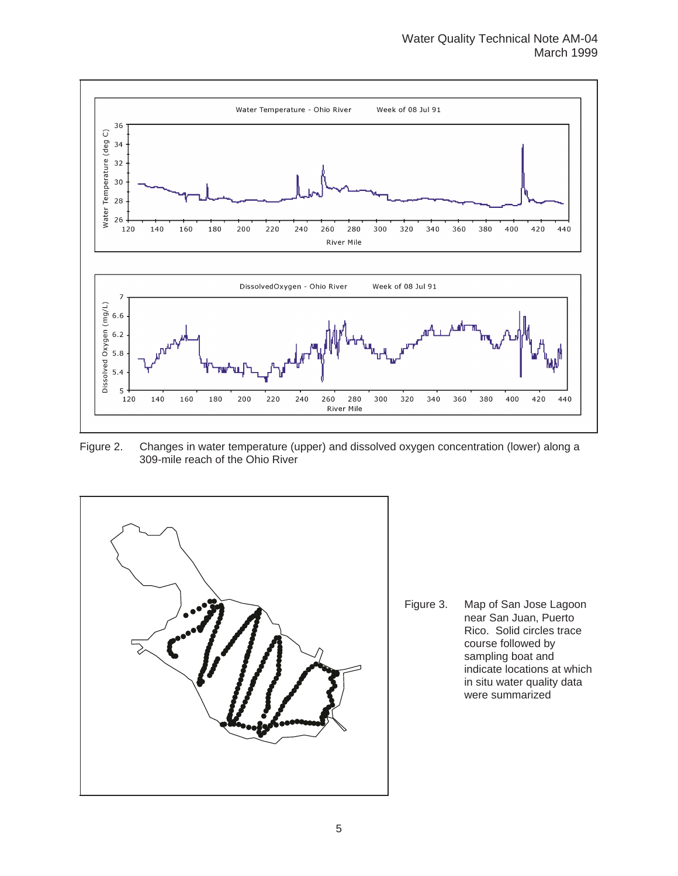

Figure 2. Changes in water temperature (upper) and dissolved oxygen concentration (lower) along a 309-mile reach of the Ohio River



Figure 3. Map of San Jose Lagoon near San Juan, Puerto Rico. Solid circles trace course followed by sampling boat and indicate locations at which in situ water quality data were summarized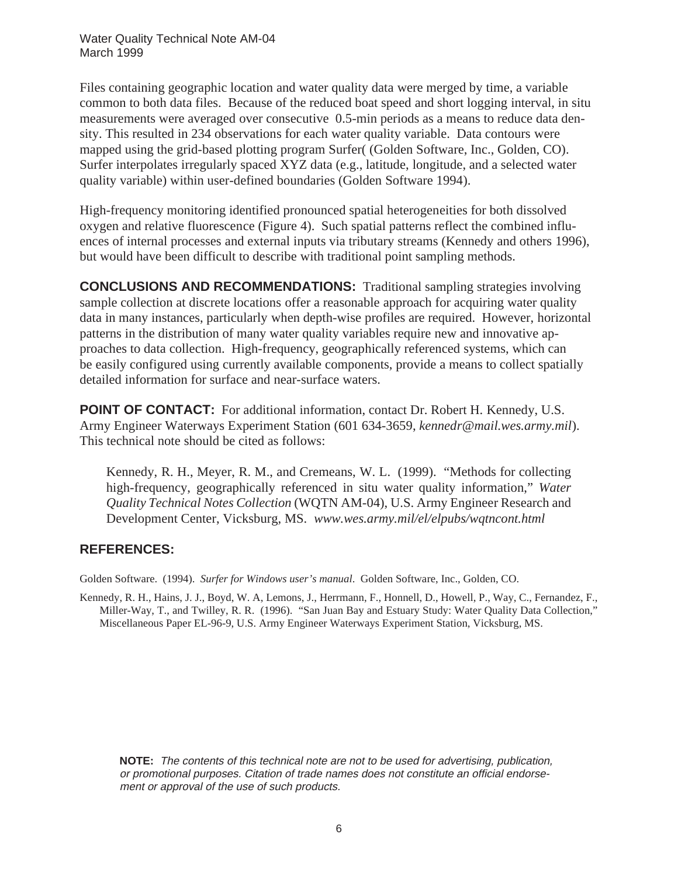Water Quality Technical Note AM-04 March 1999

Files containing geographic location and water quality data were merged by time, a variable common to both data files. Because of the reduced boat speed and short logging interval, in situ measurements were averaged over consecutive 0.5-min periods as a means to reduce data density. This resulted in 234 observations for each water quality variable. Data contours were mapped using the grid-based plotting program Surfer( (Golden Software, Inc., Golden, CO). Surfer interpolates irregularly spaced XYZ data (e.g., latitude, longitude, and a selected water quality variable) within user-defined boundaries (Golden Software 1994).

High-frequency monitoring identified pronounced spatial heterogeneities for both dissolved oxygen and relative fluorescence (Figure 4). Such spatial patterns reflect the combined influences of internal processes and external inputs via tributary streams (Kennedy and others 1996), but would have been difficult to describe with traditional point sampling methods.

**CONCLUSIONS AND RECOMMENDATIONS:** Traditional sampling strategies involving sample collection at discrete locations offer a reasonable approach for acquiring water quality data in many instances, particularly when depth-wise profiles are required. However, horizontal patterns in the distribution of many water quality variables require new and innovative approaches to data collection. High-frequency, geographically referenced systems, which can be easily configured using currently available components, provide a means to collect spatially detailed information for surface and near-surface waters.

**POINT OF CONTACT:** For additional information, contact Dr. Robert H. Kennedy, U.S. Army Engineer Waterways Experiment Station (601 634-3659, *kennedr@mail.wes.army.mil*). This technical note should be cited as follows:

Kennedy, R. H., Meyer, R. M., and Cremeans, W. L. (1999). "Methods for collecting high-frequency, geographically referenced in situ water quality information," *Water Quality Technical Notes Collection* (WQTN AM-04), U.S. Army Engineer Research and Development Center, Vicksburg, MS. *www.wes.army.mil/el/elpubs/wqtncont.html*

## **REFERENCES:**

Golden Software. (1994). *Surfer for Windows user's manual*. Golden Software, Inc., Golden, CO.

Kennedy, R. H., Hains, J. J., Boyd, W. A, Lemons, J., Herrmann, F., Honnell, D., Howell, P., Way, C., Fernandez, F., Miller-Way, T., and Twilley, R. R. (1996). "San Juan Bay and Estuary Study: Water Quality Data Collection," Miscellaneous Paper EL-96-9, U.S. Army Engineer Waterways Experiment Station, Vicksburg, MS.

**NOTE:** The contents of this technical note are not to be used for advertising, publication, or promotional purposes. Citation of trade names does not constitute an official endorsement or approval of the use of such products.